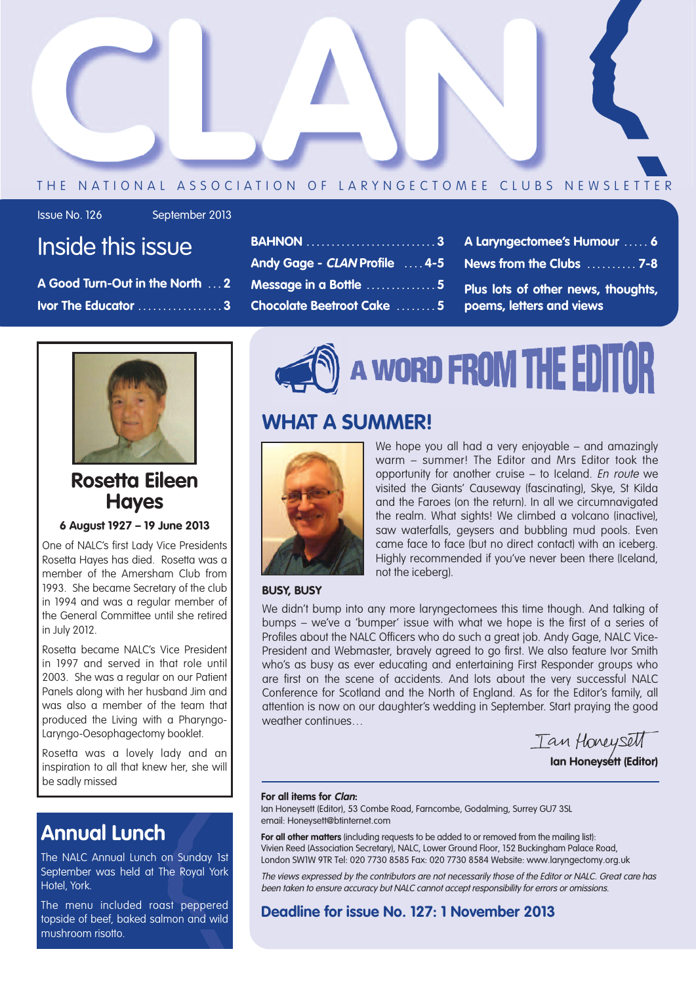

#### THE NATIONAL ASSOCIATION OF LARYNGECTOMEE CLUBS NEWSLETTER

Issue No. 126 September 2013

### Inside this issue

**A Good Turn-Out in the North . . . 2 Ivor The Educator . . . . . . . . . . . . . . . . . 3**

- **BAHNON . . . . . . . . . . . . . . . . . . . . . . . . . . 3 Andy Gage - CLAN Profile . . . . 4-5 Message in a Bottle . . . . . . . . . . . . . . 5 Chocolate Beetroot Cake . . . . . . . . 5**
- **A Laryngectomee's Humour . . . . . 6 News from the Clubs . . . . . . . . . . 7-8**
- **Plus lots of other news, thoughts, poems, letters and views**



### **Rosetta Eileen Hayes**

**6 August 1927 – 19 June 2013**

One of NALC's first Lady Vice Presidents Rosetta Hayes has died. Rosetta was a member of the Amersham Club from 1993. She became Secretary of the club in 1994 and was a regular member of the General Committee until she retired in July 2012.

Rosetta became NALC's Vice President in 1997 and served in that role until 2003. She was a regular on our Patient Panels along with her husband Jim and was also a member of the team that produced the Living with a Pharyngo-Laryngo-Oesophagectomy booklet.

Rosetta was a lovely lady and an inspiration to all that knew her, she will be sadly missed

### **Annual Lunch**

The NALC Annual Lunch on Sunday 1st September was held at The Royal York Hotel, York.

The menu included roast peppered topside of beef, baked salmon and wild mushroom risotto.



### **WHAT A SUMMER!**



We hope you all had a very enjoyable – and amazinaly warm – summer! The Editor and Mrs Editor took the opportunity for another cruise – to Iceland. En route we visited the Giants' Causeway (fascinating), Skye, St Kilda and the Faroes (on the return). In all we circumnavigated the realm. What sights! We climbed a volcano (inactive), saw waterfalls, geysers and bubbling mud pools. Even came face to face (but no direct contact) with an iceberg. Highly recommended if you've never been there (Iceland, not the iceberg).

#### **BUSY, BUSY**

We didn't bump into any more laryngectomees this time though. And talking of bumps – we've a 'bumper' issue with what we hope is the first of a series of Profiles about the NALC Officers who do such a great job. Andy Gage, NALC Vice-President and Webmaster, bravely agreed to go first. We also feature Ivor Smith who's as busy as ever educating and entertaining First Responder groups who are first on the scene of accidents. And lots about the very successful NALC Conference for Scotland and the North of England. As for the Editor's family, all attention is now on our daughter's wedding in September. Start praying the good weather continues…

Tan Honeysett **Ian Honeysett (Editor)**

#### **For all items for Clan:**

Ian Honeysett (Editor), 53 Combe Road, Farncombe, Godalming, Surrey GU7 3SL email: Honeysett@btinternet.com

**For all other matters** (including requests to be added to or removed from the mailing list): Vivien Reed (Association Secretary), NALC, Lower Ground Floor, 152 Buckingham Palace Road, London SW1W 9TR Tel: 020 7730 8585 Fax: 020 7730 8584 Website: www.laryngectomy.org.uk

The views expressed by the contributors are not necessarily those of the Editor or NALC. Great care has been taken to ensure accuracy but NALC cannot accept responsibility for errors or omissions.

#### **Deadline for issue No. 127: 1 November 2013**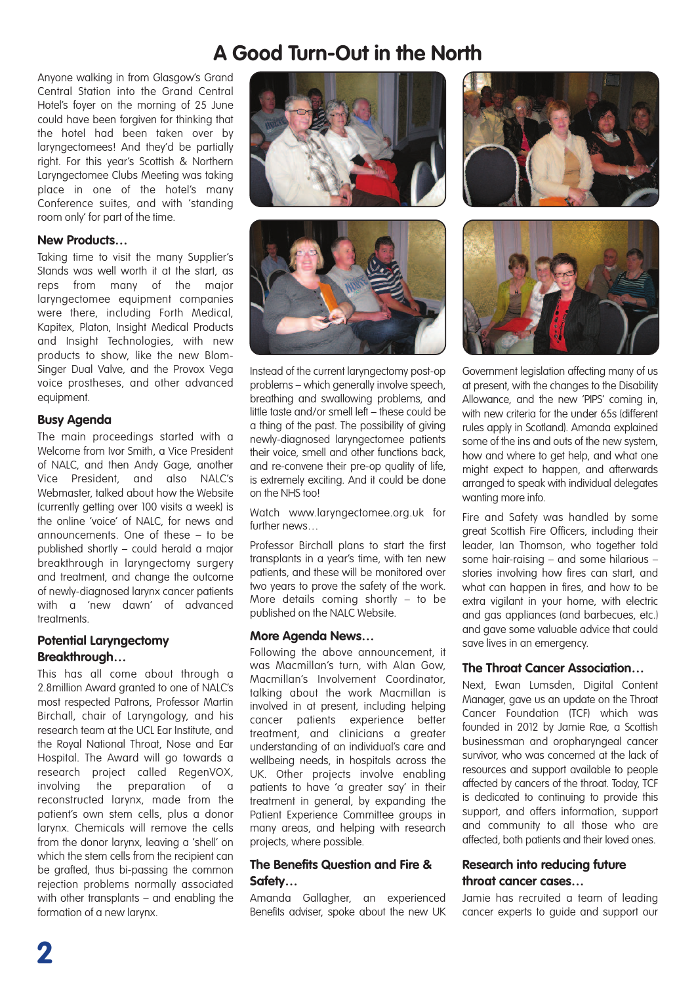### **A Good Turn-Out in the North**

Anyone walking in from Glasgow's Grand Central Station into the Grand Central Hotel's foyer on the morning of 25 June could have been forgiven for thinking that the hotel had been taken over by laryngectomees! And they'd be partially right. For this year's Scottish & Northern Laryngectomee Clubs Meeting was taking place in one of the hotel's many Conference suites, and with 'standing room only' for part of the time.

#### **New Products…**

Taking time to visit the many Supplier's Stands was well worth it at the start, as reps from many of the major laryngectomee equipment companies were there, including Forth Medical, Kapitex, Platon, Insight Medical Products and Insight Technologies, with new products to show, like the new Blom-Singer Dual Valve, and the Provox Vega voice prostheses, and other advanced equipment.

#### **Busy Agenda**

The main proceedings started with a Welcome from Ivor Smith, a Vice President of NALC, and then Andy Gage, another Vice President, and also NALC's Webmaster, talked about how the Website (currently getting over 100 visits a week) is the online 'voice' of NALC, for news and announcements. One of these – to be published shortly – could herald a major breakthrough in laryngectomy surgery and treatment, and change the outcome of newly-diagnosed larynx cancer patients with a 'new dawn' of advanced treatments.

#### **Potential Laryngectomy Breakthrough…**

This has all come about through a 2.8million Award granted to one of NALC's most respected Patrons, Professor Martin Birchall, chair of Laryngology, and his research team at the UCL Ear Institute, and the Royal National Throat, Nose and Ear Hospital. The Award will go towards a research project called RegenVOX, involving the preparation of a reconstructed larynx, made from the patient's own stem cells, plus a donor larynx. Chemicals will remove the cells from the donor larynx, leaving a 'shell' on which the stem cells from the recipient can be grafted, thus bi-passing the common rejection problems normally associated with other transplants – and enabling the formation of a new larynx.





Instead of the current laryngectomy post-op problems – which generally involve speech, breathing and swallowing problems, and little taste and/or smell left – these could be a thing of the past. The possibility of giving newly-diagnosed laryngectomee patients their voice, smell and other functions back, and re-convene their pre-op quality of life, is extremely exciting. And it could be done on the NHS too!

Watch www.laryngectomee.org.uk for further news...

Professor Birchall plans to start the first transplants in a year's time, with ten new patients, and these will be monitored over two years to prove the safety of the work. More details coming shortly – to be published on the NALC Website.

#### **More Agenda News…**

Following the above announcement, it was Macmillan's turn, with Alan Gow, Macmillan's Involvement Coordinator, talking about the work Macmillan is involved in at present, including helping cancer patients experience better treatment, and clinicians a greater understanding of an individual's care and wellbeing needs, in hospitals across the UK. Other projects involve enabling patients to have 'a greater say' in their treatment in general, by expanding the Patient Experience Committee groups in many areas, and helping with research projects, where possible.

#### **The Benefits Question and Fire & Safety…**

Amanda Gallagher, an experienced Benefits adviser, spoke about the new UK





Government legislation affecting many of us at present, with the changes to the Disability Allowance, and the new 'PIPS' coming in, with new criteria for the under 65s (different rules apply in Scotland). Amanda explained some of the ins and outs of the new system, how and where to get help, and what one might expect to happen, and afterwards arranged to speak with individual delegates wanting more info.

Fire and Safety was handled by some great Scottish Fire Officers, including their leader, Ian Thomson, who together told some hair-raising – and some hilarious – stories involving how fires can start, and what can happen in fires, and how to be extra vigilant in your home, with electric and gas appliances (and barbecues, etc.) and gave some valuable advice that could save lives in an emergency.

#### **The Throat Cancer Association…**

Next, Ewan Lumsden, Digital Content Manager, gave us an update on the Throat Cancer Foundation (TCF) which was founded in 2012 by Jamie Rae, a Scottish businessman and oropharyngeal cancer survivor, who was concerned at the lack of resources and support available to people affected by cancers of the throat. Today, TCF is dedicated to continuing to provide this support, and offers information, support and community to all those who are affected, both patients and their loved ones.

#### **Research into reducing future throat cancer cases…**

Jamie has recruited a team of leading cancer experts to guide and support our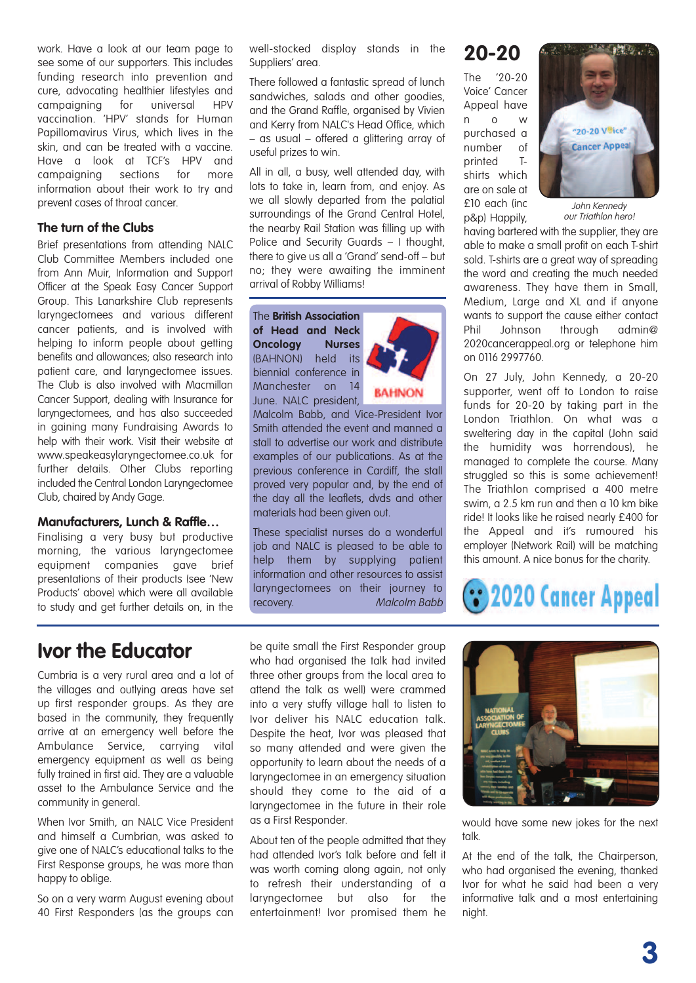work. Have a look at our team page to see some of our supporters. This includes funding research into prevention and cure, advocating healthier lifestyles and campaigning for universal HPV vaccination. 'HPV' stands for Human Papillomavirus Virus, which lives in the skin, and can be treated with a vaccine. Have a look at TCF's HPV and campaigning sections for more information about their work to try and prevent cases of throat cancer.

#### **The turn of the Clubs**

Brief presentations from attending NALC Club Committee Members included one from Ann Muir, Information and Support Officer at the Speak Easy Cancer Support Group. This Lanarkshire Club represents laryngectomees and various different cancer patients, and is involved with helping to inform people about getting benefits and allowances; also research into patient care, and laryngectomee issues. The Club is also involved with Macmillan Cancer Support, dealing with Insurance for laryngectomees, and has also succeeded in gaining many Fundraising Awards to help with their work. Visit their website at www.speakeasylaryngectomee.co.uk for further details. Other Clubs reporting included the Central London Laryngectomee Club, chaired by Andy Gage.

#### **Manufacturers, Lunch & Raffle…**

Finalising a very busy but productive morning, the various laryngectomee equipment companies gave brief presentations of their products (see 'New Products' above) which were all available to study and get further details on, in the

well-stocked display stands in the Suppliers' area.

There followed a fantastic spread of lunch sandwiches, salads and other goodies, and the Grand Raffle, organised by Vivien and Kerry from NALC's Head Office, which – as usual – offered a glittering array of useful prizes to win.

All in all, a busy, well attended day, with lots to take in, learn from, and enjoy. As we all slowly departed from the palatial surroundings of the Grand Central Hotel, the nearby Rail Station was filling up with Police and Security Guards – I thought, there to give us all a 'Grand' send-off – but no; they were awaiting the imminent arrival of Robby Williams!

The **British Association of Head and Neck Oncology Nurses** (BAHNON) held its biennial conference in Manchester on 14 June. NALC president,



Malcolm Babb, and Vice-President Ivor Smith attended the event and manned a stall to advertise our work and distribute examples of our publications. As at the previous conference in Cardiff, the stall proved very popular and, by the end of the day all the leaflets, dvds and other materials had been given out.

These specialist nurses do a wonderful job and NALC is pleased to be able to help them by supplying patient information and other resources to assist laryngectomees on their journey to recovery. Malcolm Babb

**20-20**

The '20-20 Voice' Cancer Appeal have n o w purchased a number of printed Tshirts which are on sale at £10 each (inc p&p) Happily,



John Kennedy our Triathlon hero!

having bartered with the supplier, they are able to make a small profit on each T-shirt sold. T-shirts are a great way of spreading the word and creating the much needed awareness. They have them in Small, Medium, Large and XL and if anyone wants to support the cause either contact Phil Johnson through admin@ 2020cancerappeal.org or telephone him on 0116 2997760.

On 27 July, John Kennedy, a 20-20 supporter, went off to London to raise funds for 20-20 by taking part in the London Triathlon. On what was a sweltering day in the capital (John said the humidity was horrendous), he managed to complete the course. Many struggled so this is some achievement! The Triathlon comprised a 400 metre swim, a 2.5 km run and then a 10 km bike ride! It looks like he raised nearly £400 for the Appeal and it's rumoured his employer (Network Rail) will be matching this amount. A nice bonus for the charity.

## 2020 Cancer Appeal

### **Ivor the Educator**

Cumbria is a very rural area and a lot of the villages and outlying areas have set up first responder groups. As they are based in the community, they frequently arrive at an emergency well before the Ambulance Service, carrying vital emergency equipment as well as being fully trained in first aid. They are a valuable asset to the Ambulance Service and the community in general.

When Ivor Smith, an NALC Vice President and himself a Cumbrian, was asked to give one of NALC's educational talks to the First Response groups, he was more than happy to oblige.

So on a very warm August evening about 40 First Responders (as the groups can be quite small the First Responder group who had organised the talk had invited three other groups from the local area to attend the talk as well) were crammed into a very stuffy village hall to listen to Ivor deliver his NALC education talk. Despite the heat, Ivor was pleased that so many attended and were given the opportunity to learn about the needs of a laryngectomee in an emergency situation should they come to the aid of a laryngectomee in the future in their role as a First Responder.

About ten of the people admitted that they had attended Ivor's talk before and felt it was worth coming along again, not only to refresh their understanding of a laryngectomee but also for the entertainment! Ivor promised them he



would have some new jokes for the next talk.

At the end of the talk, the Chairperson, who had organised the evening, thanked Ivor for what he said had been a very informative talk and a most entertaining night.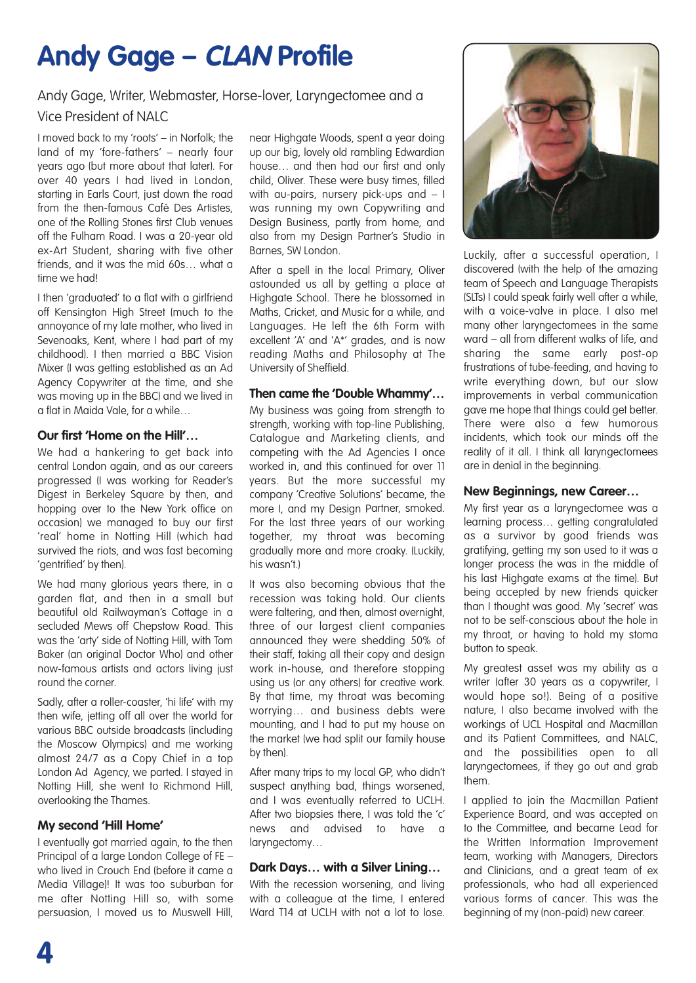## **Andy Gage – CLAN Profile**

#### Andy Gage, Writer, Webmaster, Horse-lover, Laryngectomee and a Vice President of NALC

I moved back to my 'roots' – in Norfolk; the land of my 'fore-fathers' – nearly four years ago (but more about that later). For over 40 years I had lived in London, starting in Earls Court, just down the road from the then-famous Café Des Artistes, one of the Rolling Stones first Club venues off the Fulham Road. I was a 20-year old ex-Art Student, sharing with five other friends, and it was the mid 60s… what a time we had!

I then 'graduated' to a flat with a girlfriend off Kensington High Street (much to the annoyance of my late mother, who lived in Sevenoaks, Kent, where I had part of my childhood). I then married a BBC Vision Mixer (I was getting established as an Ad Agency Copywriter at the time, and she was moving up in the BBC) and we lived in a flat in Maida Vale, for a while…

#### **Our first 'Home on the Hill'…**

We had a hankering to get back into central London again, and as our careers progressed (I was working for Reader's Digest in Berkeley Square by then, and hopping over to the New York office on occasion) we managed to buy our first 'real' home in Notting Hill (which had survived the riots, and was fast becoming 'gentrified' by then).

We had many glorious years there, in a garden flat, and then in a small but beautiful old Railwayman's Cottage in a secluded Mews off Chepstow Road. This was the 'arty' side of Notting Hill, with Tom Baker (an original Doctor Who) and other now-famous artists and actors living just round the corner.

Sadly, after a roller-coaster, 'hi life' with my then wife, jetting off all over the world for various BBC outside broadcasts (including the Moscow Olympics) and me working almost 24/7 as a Copy Chief in a top London Ad Agency, we parted. I stayed in Notting Hill, she went to Richmond Hill, overlooking the Thames.

#### **My second 'Hill Home'**

I eventually got married again, to the then Principal of a large London College of FE – who lived in Crouch End (before it came a Media Village)! It was too suburban for me after Notting Hill so, with some persuasion, I moved us to Muswell Hill,

near Highgate Woods, spent a year doing up our big, lovely old rambling Edwardian house… and then had our first and only child, Oliver. These were busy times, filled with au-pairs, nursery pick-ups and – I was running my own Copywriting and Design Business, partly from home, and also from my Design Partner's Studio in Barnes, SW London.

After a spell in the local Primary, Oliver astounded us all by getting a place at Highgate School. There he blossomed in Maths, Cricket, and Music for a while, and Languages. He left the 6th Form with excellent 'A' and 'A\*' grades, and is now reading Maths and Philosophy at The University of Sheffield.

#### **Then came the 'Double Whammy'…**

My business was going from strength to strength, working with top-line Publishing, Catalogue and Marketing clients, and competing with the Ad Agencies I once worked in, and this continued for over 11 years. But the more successful my company 'Creative Solutions' became, the more I, and my Design Partner, smoked. For the last three years of our working together, my throat was becoming gradually more and more croaky. (Luckily, his wasn't.)

It was also becoming obvious that the recession was taking hold. Our clients were faltering, and then, almost overnight, three of our largest client companies announced they were shedding 50% of their staff, taking all their copy and design work in-house, and therefore stopping using us (or any others) for creative work. By that time, my throat was becoming worrying… and business debts were mounting, and I had to put my house on the market (we had split our family house by then).

After many trips to my local GP, who didn't suspect anything bad, things worsened, and I was eventually referred to UCLH. After two biopsies there, I was told the 'c' news and advised to have a laryngectomy…

#### **Dark Days… with a Silver Lining…**

With the recession worsening, and living with a colleague at the time, I entered Ward T14 at UCLH with not a lot to lose.



Luckily, after a successful operation, I discovered (with the help of the amazing team of Speech and Language Therapists (SLTs) I could speak fairly well after a while, with a voice-valve in place. I also met many other laryngectomees in the same ward – all from different walks of life, and sharing the same early post-op frustrations of tube-feeding, and having to write everything down, but our slow improvements in verbal communication gave me hope that things could get better. There were also a few humorous incidents, which took our minds off the reality of it all. I think all laryngectomees are in denial in the beginning.

#### **New Beginnings, new Career…**

My first year as a laryngectomee was a learning process… getting congratulated as a survivor by good friends was gratifying, getting my son used to it was a longer process (he was in the middle of his last Highgate exams at the time). But being accepted by new friends quicker than I thought was good. My 'secret' was not to be self-conscious about the hole in my throat, or having to hold my stoma button to speak.

My greatest asset was my ability as a writer (after 30 years as a copywriter, I would hope so!). Being of a positive nature, I also became involved with the workings of UCL Hospital and Macmillan and its Patient Committees, and NALC, and the possibilities open to all laryngectomees, if they go out and grab them.

I applied to join the Macmillan Patient Experience Board, and was accepted on to the Committee, and became Lead for the Written Information Improvement team, working with Managers, Directors and Clinicians, and a great team of ex professionals, who had all experienced various forms of cancer. This was the beginning of my (non-paid) new career.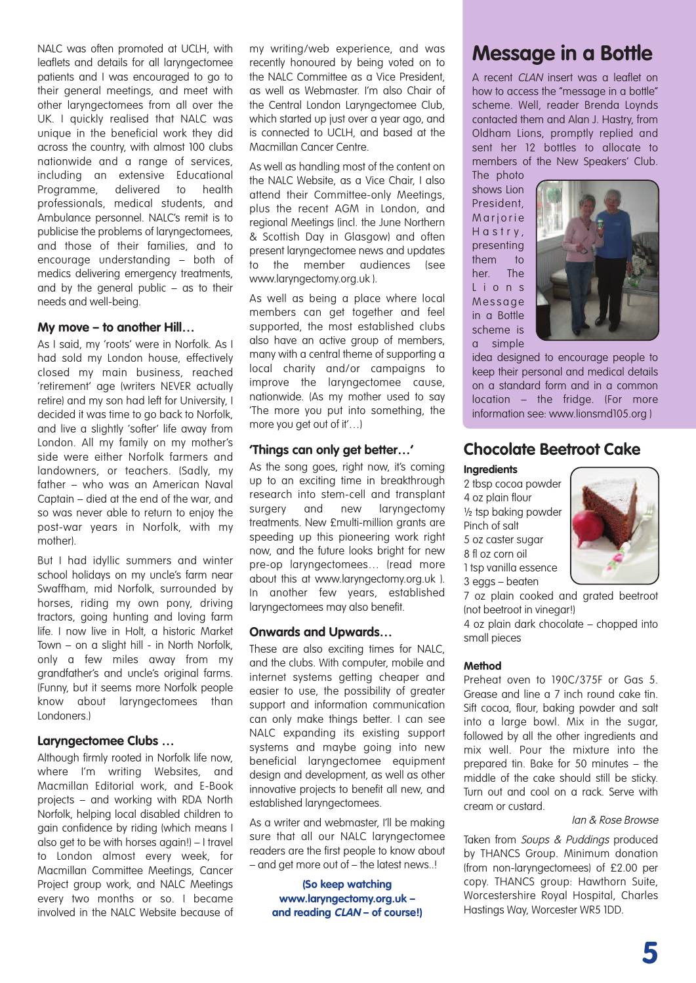NALC was often promoted at UCLH, with leaflets and details for all laryngectomee patients and I was encouraged to go to their general meetings, and meet with other laryngectomees from all over the UK. I quickly realised that NALC was unique in the beneficial work they did across the country, with almost 100 clubs nationwide and a range of services, including an extensive Educational Programme, delivered to health professionals, medical students, and Ambulance personnel. NALC's remit is to publicise the problems of laryngectomees, and those of their families, and to encourage understanding – both of medics delivering emergency treatments, and by the general public – as to their needs and well-being.

#### **My move – to another Hill…**

As I said, my 'roots' were in Norfolk. As I had sold my London house, effectively closed my main business, reached 'retirement' age (writers NEVER actually retire) and my son had left for University, I decided it was time to go back to Norfolk, and live a slightly 'softer' life away from London. All my family on my mother's side were either Norfolk farmers and landowners, or teachers. (Sadly, my father – who was an American Naval Captain – died at the end of the war, and so was never able to return to enjoy the post-war years in Norfolk, with my mother).

But I had idyllic summers and winter school holidays on my uncle's farm near Swaffham, mid Norfolk, surrounded by horses, riding my own pony, driving tractors, going hunting and loving farm life. I now live in Holt, a historic Market Town – on a slight hill - in North Norfolk, only a few miles away from my grandfather's and uncle's original farms. (Funny, but it seems more Norfolk people know about laryngectomees than Londoners.)

#### **Laryngectomee Clubs …**

Although firmly rooted in Norfolk life now, where I'm writing Websites, and Macmillan Editorial work, and E-Book projects – and working with RDA North Norfolk, helping local disabled children to gain confidence by riding (which means I also get to be with horses again!) – I travel to London almost every week, for Macmillan Committee Meetings, Cancer Project group work, and NALC Meetings every two months or so. I became involved in the NALC Website because of

my writing/web experience, and was recently honoured by being voted on to the NALC Committee as a Vice President, as well as Webmaster. I'm also Chair of the Central London Laryngectomee Club, which started up just over a year ago, and is connected to UCLH, and based at the Macmillan Cancer Centre.

As well as handling most of the content on the NALC Website, as a Vice Chair, I also attend their Committee-only Meetings, plus the recent AGM in London, and regional Meetings (incl. the June Northern & Scottish Day in Glasgow) and often present laryngectomee news and updates to the member audiences (see www.laryngectomy.org.uk ).

As well as being a place where local members can get together and feel supported, the most established clubs also have an active group of members, many with a central theme of supporting a local charity and/or campaigns to improve the laryngectomee cause, nationwide. (As my mother used to say 'The more you put into something, the more you get out of it'…)

#### **'Things can only get better…'**

As the song goes, right now, it's coming up to an exciting time in breakthrough research into stem-cell and transplant surgery and new laryngectomy treatments. New £multi-million grants are speeding up this pioneering work right now, and the future looks bright for new pre-op laryngectomees… (read more about this at www.laryngectomy.org.uk ). In another few years, established laryngectomees may also benefit.

#### **Onwards and Upwards…**

These are also exciting times for NALC, and the clubs. With computer, mobile and internet systems getting cheaper and easier to use, the possibility of greater support and information communication can only make things better. I can see NALC expanding its existing support systems and maybe going into new beneficial laryngectomee equipment design and development, as well as other innovative projects to benefit all new, and established laryngectomees.

As a writer and webmaster, I'll be making sure that all our NALC laryngectomee readers are the first people to know about – and get more out of – the latest news..!

**(So keep watching www.laryngectomy.org.uk – and reading CLAN – of course!)**

### **Message in a Bottle**

A recent CLAN insert was a leaflet on how to access the "message in a bottle" scheme. Well, reader Brenda Loynds contacted them and Alan J. Hastry, from Oldham Lions, promptly replied and sent her 12 bottles to allocate to members of the New Speakers' Club.

The photo shows Lion President, **Marjorie** Hastry, presenting them to her. The L i o n s Me s sage in a Bottle scheme is a simple



idea designed to encourage people to keep their personal and medical details on a standard form and in a common location – the fridge. (For more information see: www.lionsmd105.org )

#### **Chocolate Beetroot Cake**

#### **Ingredients**

 tbsp cocoa powder oz plain flour ½ tsp baking powder Pinch of salt oz caster sugar fl oz corn oil tsp vanilla essence eggs – beaten



7 oz plain cooked and grated beetroot (not beetroot in vinegar!)

4 oz plain dark chocolate – chopped into small pieces

#### **Method**

Preheat oven to 190C/375F or Gas 5. Grease and line a 7 inch round cake tin. Sift cocoa, flour, baking powder and salt into a large bowl. Mix in the sugar, followed by all the other ingredients and mix well. Pour the mixture into the prepared tin. Bake for 50 minutes – the middle of the cake should still be sticky. Turn out and cool on a rack. Serve with cream or custard.

#### Ian & Rose Browse

Taken from Soups & Puddings produced by THANCS Group. Minimum donation (from non-laryngectomees) of £2.00 per copy. THANCS group: Hawthorn Suite, Worcestershire Royal Hospital, Charles Hastings Way, Worcester WR5 1DD.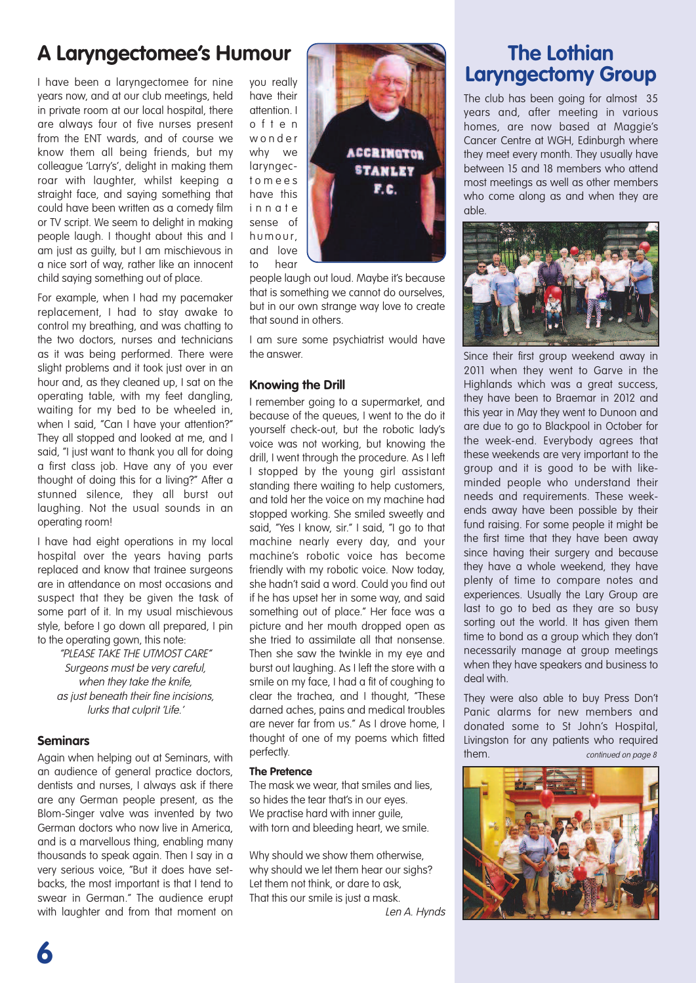### **A Laryngectomee's Humour**

I have been a laryngectomee for nine years now, and at our club meetings, held in private room at our local hospital, there are always four ot five nurses present from the ENT wards, and of course we know them all being friends, but my colleague 'Larry's', delight in making them roar with laughter, whilst keeping a straight face, and saying something that could have been written as a comedy film or TV script. We seem to delight in making people laugh. I thought about this and I am just as guilty, but I am mischievous in a nice sort of way, rather like an innocent child saying something out of place.

For example, when I had my pacemaker replacement, I had to stay awake to control my breathing, and was chatting to the two doctors, nurses and technicians as it was being performed. There were slight problems and it took just over in an hour and, as they cleaned up, I sat on the operating table, with my feet dangling, waiting for my bed to be wheeled in, when I said, "Can I have your attention?" They all stopped and looked at me, and I said, "I just want to thank you all for doing a first class job. Have any of you ever thought of doing this for a living?" After a stunned silence, they all burst out laughing. Not the usual sounds in an operating room!

I have had eight operations in my local hospital over the years having parts replaced and know that trainee surgeons are in attendance on most occasions and suspect that they be given the task of some part of it. In my usual mischievous style, before I go down all prepared, I pin to the operating gown, this note:

"PLEASE TAKE THE UTMOST CARE" Surgeons must be very careful, when they take the knife, as just beneath their fine incisions, lurks that culprit 'Life.'

#### **Seminars**

Again when helping out at Seminars, with an audience of general practice doctors, dentists and nurses, I always ask if there are any German people present, as the Blom-Singer valve was invented by two German doctors who now live in America, and is a marvellous thing, enabling many thousands to speak again. Then I say in a very serious voice, "But it does have setbacks, the most important is that I tend to swear in German." The audience erupt with laughter and from that moment on

you really have their attention. I o f t e n w o n d e r why we laryngect o m e e s have this i n n a t e sense of humour. and love to hear

people laugh out loud. Maybe it's because that is something we cannot do ourselves, but in our own strange way love to create that sound in others.

**ACCRIMGTOR STANLEY** F.C.

I am sure some psychiatrist would have the answer.

#### **Knowing the Drill**

I remember going to a supermarket, and because of the queues, I went to the do it yourself check-out, but the robotic lady's voice was not working, but knowing the drill, I went through the procedure. As I left I stopped by the young girl assistant standing there waiting to help customers, and told her the voice on my machine had stopped working. She smiled sweetly and said, "Yes I know, sir." I said, "I go to that machine nearly every day, and your machine's robotic voice has become friendly with my robotic voice. Now today, she hadn't said a word. Could you find out if he has upset her in some way, and said something out of place." Her face was a picture and her mouth dropped open as she tried to assimilate all that nonsense. Then she saw the twinkle in my eye and burst out laughing. As I left the store with a smile on my face, I had a fit of coughing to clear the trachea, and I thought, "These darned aches, pains and medical troubles are never far from us." As I drove home, I thought of one of my poems which fitted perfectly.

#### **The Pretence**

The mask we wear, that smiles and lies, so hides the tear that's in our eyes. We practise hard with inner guile, with torn and bleeding heart, we smile.

Why should we show them otherwise, why should we let them hear our sighs? Let them not think, or dare to ask, That this our smile is just a mask.

Len A. Hynds

### **The Lothian Laryngectomy Group**

The club has been going for almost 35 years and, after meeting in various homes, are now based at Maggie's Cancer Centre at WGH, Edinburgh where they meet every month. They usually have between 15 and 18 members who attend most meetings as well as other members who come along as and when they are able.



Since their first group weekend away in 2011 when they went to Garve in the Highlands which was a great success, they have been to Braemar in 2012 and this year in May they went to Dunoon and are due to go to Blackpool in October for the week-end. Everybody agrees that these weekends are very important to the group and it is good to be with likeminded people who understand their needs and requirements. These weekends away have been possible by their fund raising. For some people it might be the first time that they have been away since having their surgery and because they have a whole weekend, they have plenty of time to compare notes and experiences. Usually the Lary Group are last to go to bed as they are so busy sorting out the world. It has given them time to bond as a group which they don't necessarily manage at group meetings when they have speakers and business to deal with.

They were also able to buy Press Don't Panic alarms for new members and donated some to St John's Hospital, Livingston for any patients who required them. Continued on page 8



**6**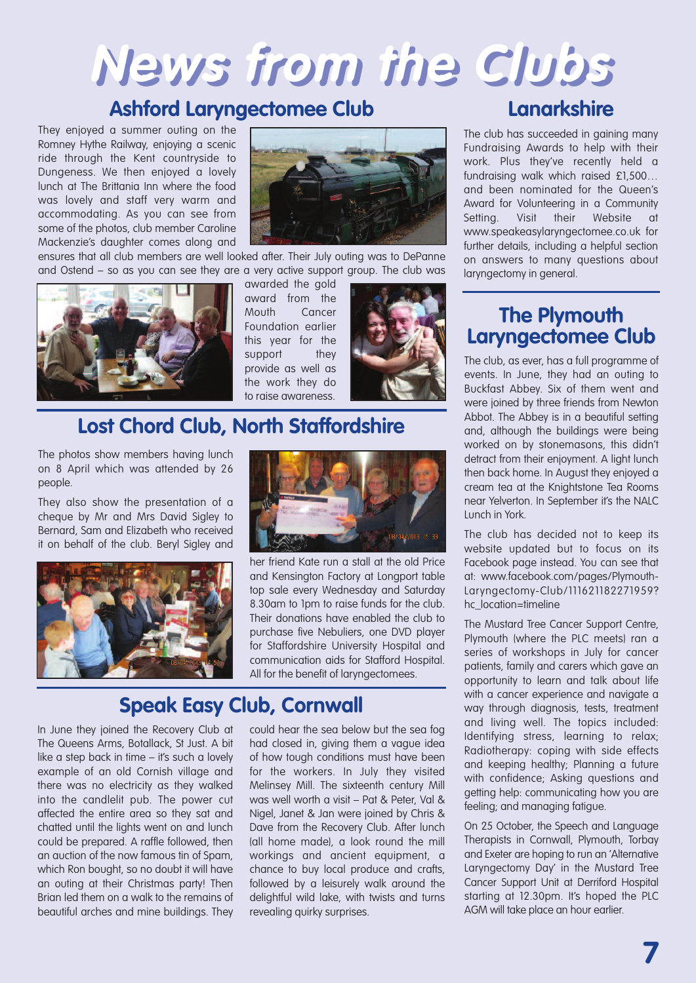# **News from the Clubs**

### **Ashford Laryngectomee Club**

They enjoyed a summer outing on the Romney Hythe Railway, enjoying a scenic ride through the Kent countryside to Dungeness. We then enjoyed a lovely lunch at The Brittania Inn where the food was lovely and staff very warm and accommodating. As you can see from some of the photos, club member Caroline Mackenzie's daughter comes along and



ensures that all club members are well looked after. Their July outing was to DePanne and Ostend – so as you can see they are a very active support group. The club was



awarded the gold award from the Mouth Cancer Foundation earlier this year for the support they provide as well as the work they do to raise awareness.



### **Lost Chord Club, North Staffordshire**

The photos show members having lunch on 8 April which was attended by 26 people.

They also show the presentation of a cheque by Mr and Mrs David Sigley to Bernard, Sam and Elizabeth who received it on behalf of the club. Beryl Sigley and



In June they joined the Recovery Club at The Queens Arms, Botallack, St Just. A bit like a step back in time – it's such a lovely example of an old Cornish village and there was no electricity as they walked into the candlelit pub. The power cut affected the entire area so they sat and chatted until the lights went on and lunch could be prepared. A raffle followed, then an auction of the now famous tin of Spam, which Ron bought, so no doubt it will have an outing at their Christmas party! Then Brian led them on a walk to the remains of beautiful arches and mine buildings. They



her friend Kate run a stall at the old Price and Kensington Factory at Longport table top sale every Wednesday and Saturday 8.30am to 1pm to raise funds for the club. Their donations have enabled the club to purchase five Nebuliers, one DVD player for Staffordshire University Hospital and communication aids for Stafford Hospital. All for the benefit of laryngectomees.

### **Speak Easy Club, Cornwall**

could hear the sea below but the sea fog had closed in, giving them a vague idea of how tough conditions must have been for the workers. In July they visited Melinsey Mill. The sixteenth century Mill was well worth a visit – Pat & Peter, Val & Nigel, Janet & Jan were joined by Chris & Dave from the Recovery Club. After lunch (all home made), a look round the mill workings and ancient equipment, a chance to buy local produce and crafts, followed by a leisurely walk around the delightful wild lake, with twists and turns revealing quirky surprises.

### **Lanarkshire**

The club has succeeded in gaining many Fundraising Awards to help with their work. Plus they've recently held a fundraising walk which raised £1,500… and been nominated for the Queen's Award for Volunteering in a Community Setting. Visit their Website at www.speakeasylaryngectomee.co.uk for further details, including a helpful section on answers to many questions about laryngectomy in general.

### **The Plymouth Laryngectomee Club**

The club, as ever, has a full programme of events. In June, they had an outing to Buckfast Abbey. Six of them went and were joined by three friends from Newton Abbot. The Abbey is in a beautiful setting and, although the buildings were being worked on by stonemasons, this didn't detract from their enjoyment. A light lunch then back home. In August they enjoyed a cream tea at the Knightstone Tea Rooms near Yelverton. In September it's the NALC Lunch in York.

The club has decided not to keep its website updated but to focus on its Facebook page instead. You can see that at: www.facebook.com/pages/Plymouth-Laryngectomy-Club/111621182271959? hc\_location=timeline

The Mustard Tree Cancer Support Centre, Plymouth (where the PLC meets) ran a series of workshops in July for cancer patients, family and carers which gave an opportunity to learn and talk about life with a cancer experience and navigate a way through diagnosis, tests, treatment and living well. The topics included: Identifying stress, learning to relax; Radiotherapy: coping with side effects and keeping healthy; Planning a future with confidence; Asking questions and getting help: communicating how you are feeling; and managing fatigue.

On 25 October, the Speech and Language Therapists in Cornwall, Plymouth, Torbay and Exeter are hoping to run an 'Alternative Laryngectomy Day' in the Mustard Tree Cancer Support Unit at Derriford Hospital starting at 12.30pm. It's hoped the PLC AGM will take place an hour earlier.